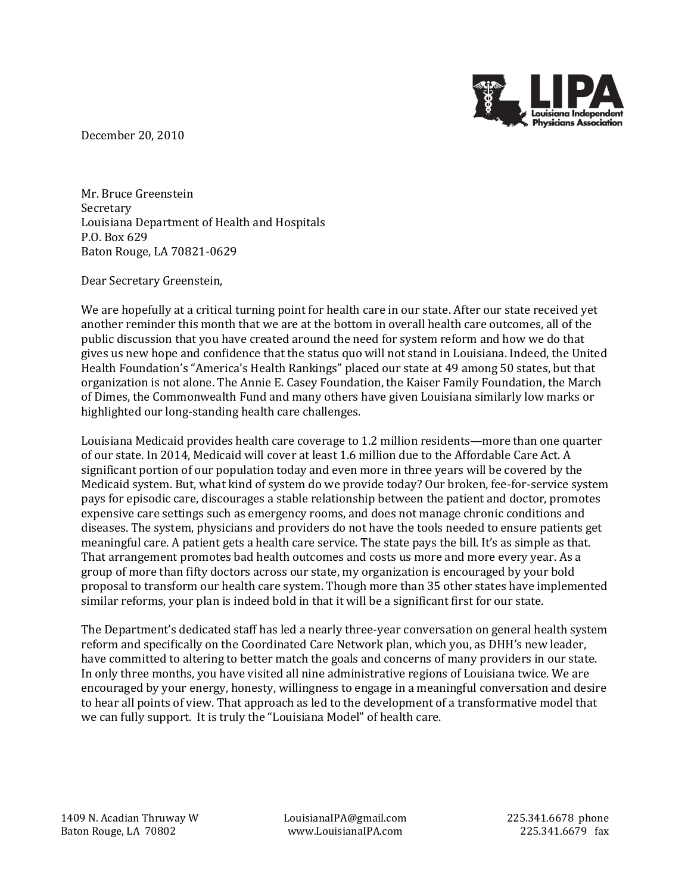

December 20, 2010

Mr. Bruce Greenstein Secretary Louisiana Department of Health and Hospitals P.O. Box 629 Baton Rouge, LA 70821-0629

Dear Secretary Greenstein,

We are hopefully at a critical turning point for health care in our state. After our state received yet another reminder this month that we are at the bottom in overall health care outcomes, all of the public discussion that you have created around the need for system reform and how we do that gives us new hope and confidence that the status quo will not stand in Louisiana. Indeed, the United Health Foundation's "America's Health Rankings" placed our state at 49 among 50 states, but that organization is not alone. The Annie E. Casey Foundation, the Kaiser Family Foundation, the March of Dimes, the Commonwealth Fund and many others have given Louisiana similarly low marks or highlighted our long-standing health care challenges.

Louisiana Medicaid provides health care coverage to 1.2 million residents—more than one quarter of our state. In 2014, Medicaid will cover at least 1.6 million due to the Affordable Care Act. A significant portion of our population today and even more in three years will be covered by the Medicaid system. But, what kind of system do we provide today? Our broken, fee-for-service system pays for episodic care, discourages a stable relationship between the patient and doctor, promotes expensive care settings such as emergency rooms, and does not manage chronic conditions and diseases. The system, physicians and providers do not have the tools needed to ensure patients get meaningful care. A patient gets a health care service. The state pays the bill. It's as simple as that. That arrangement promotes bad health outcomes and costs us more and more every year. As a group of more than fifty doctors across our state, my organization is encouraged by your bold proposal to transform our health care system. Though more than 35 other states have implemented similar reforms, your plan is indeed bold in that it will be a significant first for our state.

The Department's dedicated staff has led a nearly three-year conversation on general health system reform and specifically on the Coordinated Care Network plan, which you, as DHH's new leader, have committed to altering to better match the goals and concerns of many providers in our state. In only three months, you have visited all nine administrative regions of Louisiana twice. We are encouraged by your energy, honesty, willingness to engage in a meaningful conversation and desire to hear all points of view. That approach as led to the development of a transformative model that we can fully support. It is truly the "Louisiana Model" of health care.